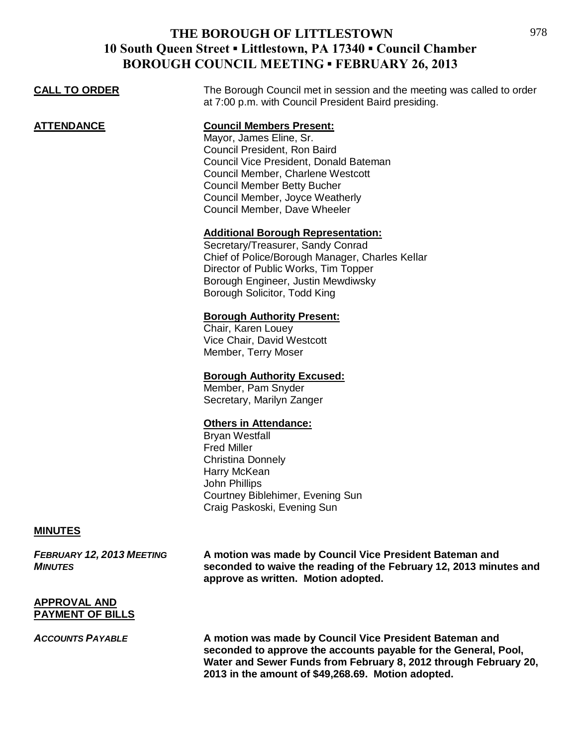| DUNUUGH COUNCIL MIEETHNG " FEDNUANT 20, 2015 |                                                                                                                                                                                                                                                                                    |  |
|----------------------------------------------|------------------------------------------------------------------------------------------------------------------------------------------------------------------------------------------------------------------------------------------------------------------------------------|--|
| <b>CALL TO ORDER</b>                         | The Borough Council met in session and the meeting was called to order<br>at 7:00 p.m. with Council President Baird presiding.                                                                                                                                                     |  |
| <b>ATTENDANCE</b>                            | <b>Council Members Present:</b><br>Mayor, James Eline, Sr.<br>Council President, Ron Baird<br>Council Vice President, Donald Bateman<br>Council Member, Charlene Westcott<br><b>Council Member Betty Bucher</b><br>Council Member, Joyce Weatherly<br>Council Member, Dave Wheeler |  |
|                                              | <b>Additional Borough Representation:</b><br>Secretary/Treasurer, Sandy Conrad<br>Chief of Police/Borough Manager, Charles Kellar<br>Director of Public Works, Tim Topper<br>Borough Engineer, Justin Mewdiwsky<br>Borough Solicitor, Todd King                                    |  |
|                                              | <b>Borough Authority Present:</b><br>Chair, Karen Louey<br>Vice Chair, David Westcott<br>Member, Terry Moser                                                                                                                                                                       |  |
|                                              | <b>Borough Authority Excused:</b><br>Member, Pam Snyder<br>Secretary, Marilyn Zanger                                                                                                                                                                                               |  |
|                                              | <b>Others in Attendance:</b><br><b>Bryan Westfall</b><br><b>Fred Miller</b><br><b>Christina Donnely</b><br>Harry McKean<br>John Phillips<br>Courtney Biblehimer, Evening Sun<br>Craig Paskoski, Evening Sun                                                                        |  |

## **MINUTES**

*FEBRUARY 12, 2013 MEETING* **A motion was made by Council Vice President Bateman and**  *MINUTES* **seconded to waive the reading of the February 12, 2013 minutes and approve as written. Motion adopted.**

#### **APPROVAL AND PAYMENT OF BILLS**

*ACCOUNTS PAYABLE* **A motion was made by Council Vice President Bateman and seconded to approve the accounts payable for the General, Pool, Water and Sewer Funds from February 8, 2012 through February 20, 2013 in the amount of \$49,268.69. Motion adopted.**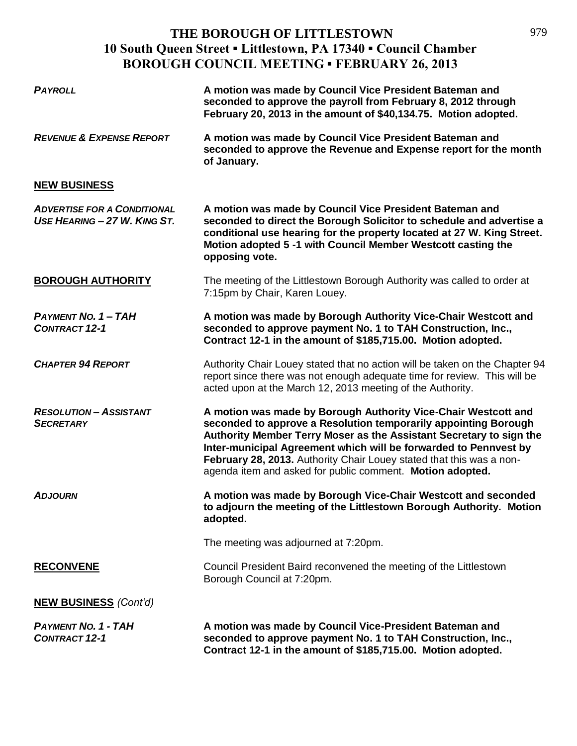| <b>PAYROLL</b>                                                     | A motion was made by Council Vice President Bateman and<br>seconded to approve the payroll from February 8, 2012 through<br>February 20, 2013 in the amount of \$40,134.75. Motion adopted.                                                                                                                                                                                                                       |
|--------------------------------------------------------------------|-------------------------------------------------------------------------------------------------------------------------------------------------------------------------------------------------------------------------------------------------------------------------------------------------------------------------------------------------------------------------------------------------------------------|
| <b>REVENUE &amp; EXPENSE REPORT</b>                                | A motion was made by Council Vice President Bateman and<br>seconded to approve the Revenue and Expense report for the month<br>of January.                                                                                                                                                                                                                                                                        |
| <b>NEW BUSINESS</b>                                                |                                                                                                                                                                                                                                                                                                                                                                                                                   |
| <b>ADVERTISE FOR A CONDITIONAL</b><br>USE HEARING - 27 W. KING ST. | A motion was made by Council Vice President Bateman and<br>seconded to direct the Borough Solicitor to schedule and advertise a<br>conditional use hearing for the property located at 27 W. King Street.<br>Motion adopted 5 -1 with Council Member Westcott casting the<br>opposing vote.                                                                                                                       |
| <b>BOROUGH AUTHORITY</b>                                           | The meeting of the Littlestown Borough Authority was called to order at<br>7:15pm by Chair, Karen Louey.                                                                                                                                                                                                                                                                                                          |
| <b>PAYMENT NO. 1 - TAH</b><br><b>CONTRACT 12-1</b>                 | A motion was made by Borough Authority Vice-Chair Westcott and<br>seconded to approve payment No. 1 to TAH Construction, Inc.,<br>Contract 12-1 in the amount of \$185,715.00. Motion adopted.                                                                                                                                                                                                                    |
| <b>CHAPTER 94 REPORT</b>                                           | Authority Chair Louey stated that no action will be taken on the Chapter 94<br>report since there was not enough adequate time for review. This will be<br>acted upon at the March 12, 2013 meeting of the Authority.                                                                                                                                                                                             |
| <b>RESOLUTION - ASSISTANT</b><br><b>SECRETARY</b>                  | A motion was made by Borough Authority Vice-Chair Westcott and<br>seconded to approve a Resolution temporarily appointing Borough<br>Authority Member Terry Moser as the Assistant Secretary to sign the<br>Inter-municipal Agreement which will be forwarded to Pennvest by<br>February 28, 2013. Authority Chair Louey stated that this was a non-<br>agenda item and asked for public comment. Motion adopted. |
| <b>ADJOURN</b>                                                     | A motion was made by Borough Vice-Chair Westcott and seconded<br>to adjourn the meeting of the Littlestown Borough Authority. Motion<br>adopted.                                                                                                                                                                                                                                                                  |
|                                                                    | The meeting was adjourned at 7:20pm.                                                                                                                                                                                                                                                                                                                                                                              |
| <b>RECONVENE</b>                                                   | Council President Baird reconvened the meeting of the Littlestown<br>Borough Council at 7:20pm.                                                                                                                                                                                                                                                                                                                   |
| <b>NEW BUSINESS (Cont'd)</b>                                       |                                                                                                                                                                                                                                                                                                                                                                                                                   |
| <b>PAYMENT NO. 1 - TAH</b><br><b>CONTRACT 12-1</b>                 | A motion was made by Council Vice-President Bateman and<br>seconded to approve payment No. 1 to TAH Construction, Inc.,<br>Contract 12-1 in the amount of \$185,715.00. Motion adopted.                                                                                                                                                                                                                           |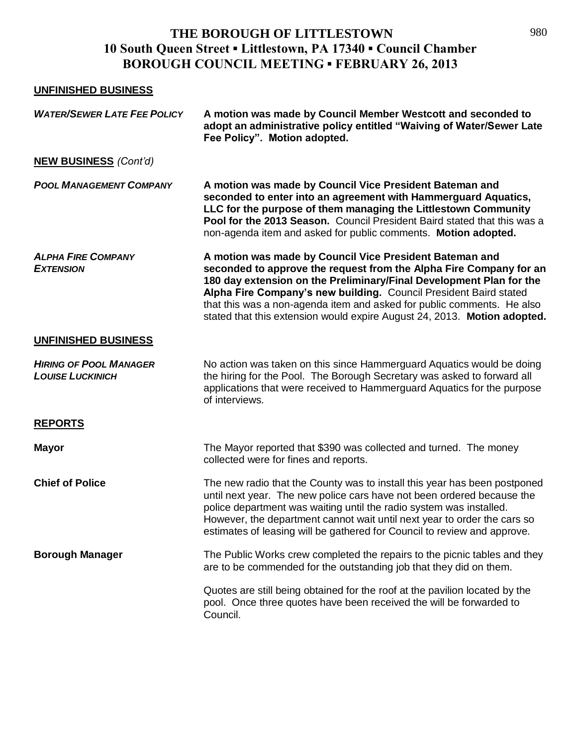## **UNFINISHED BUSINESS**

| <b>WATER/SEWER LATE FEE POLICY</b>                       | A motion was made by Council Member Westcott and seconded to<br>adopt an administrative policy entitled "Waiving of Water/Sewer Late<br>Fee Policy". Motion adopted.                                                                                                                                                                                                                                                            |
|----------------------------------------------------------|---------------------------------------------------------------------------------------------------------------------------------------------------------------------------------------------------------------------------------------------------------------------------------------------------------------------------------------------------------------------------------------------------------------------------------|
| <b>NEW BUSINESS (Cont'd)</b>                             |                                                                                                                                                                                                                                                                                                                                                                                                                                 |
| <b>POOL MANAGEMENT COMPANY</b>                           | A motion was made by Council Vice President Bateman and<br>seconded to enter into an agreement with Hammerguard Aquatics,<br>LLC for the purpose of them managing the Littlestown Community<br>Pool for the 2013 Season. Council President Baird stated that this was a<br>non-agenda item and asked for public comments. Motion adopted.                                                                                       |
| <b>ALPHA FIRE COMPANY</b><br><b>EXTENSION</b>            | A motion was made by Council Vice President Bateman and<br>seconded to approve the request from the Alpha Fire Company for an<br>180 day extension on the Preliminary/Final Development Plan for the<br>Alpha Fire Company's new building. Council President Baird stated<br>that this was a non-agenda item and asked for public comments. He also<br>stated that this extension would expire August 24, 2013. Motion adopted. |
| UNFINISHED BUSINESS                                      |                                                                                                                                                                                                                                                                                                                                                                                                                                 |
| <b>HIRING OF POOL MANAGER</b><br><b>LOUISE LUCKINICH</b> | No action was taken on this since Hammerguard Aquatics would be doing<br>the hiring for the Pool. The Borough Secretary was asked to forward all<br>applications that were received to Hammerguard Aquatics for the purpose<br>of interviews.                                                                                                                                                                                   |
| <b>REPORTS</b>                                           |                                                                                                                                                                                                                                                                                                                                                                                                                                 |
| <b>Mayor</b>                                             | The Mayor reported that \$390 was collected and turned. The money<br>collected were for fines and reports.                                                                                                                                                                                                                                                                                                                      |
| <b>Chief of Police</b>                                   | The new radio that the County was to install this year has been postponed<br>until next year. The new police cars have not been ordered because the<br>police department was waiting until the radio system was installed.<br>However, the department cannot wait until next year to order the cars so<br>estimates of leasing will be gathered for Council to review and approve.                                              |
| <b>Borough Manager</b>                                   | The Public Works crew completed the repairs to the picnic tables and they<br>are to be commended for the outstanding job that they did on them.                                                                                                                                                                                                                                                                                 |
|                                                          | Quotes are still being obtained for the roof at the pavilion located by the<br>pool. Once three quotes have been received the will be forwarded to<br>Council.                                                                                                                                                                                                                                                                  |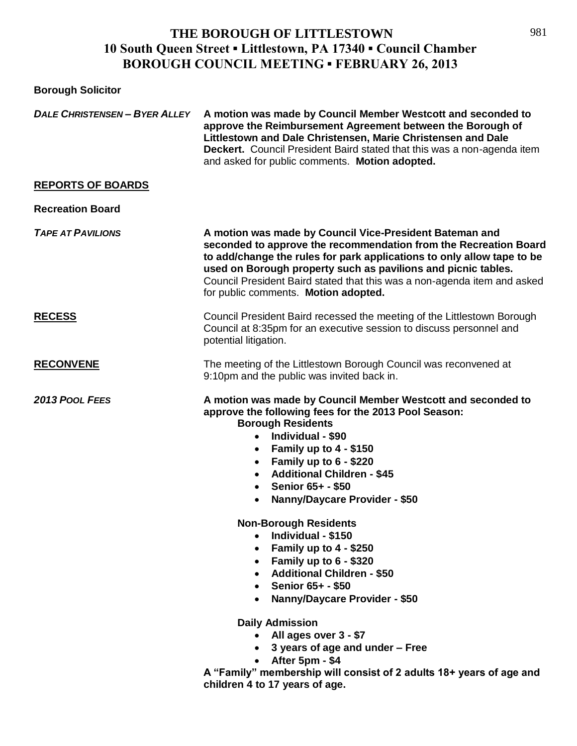| <b>Borough Solicitor</b>             |                                                                                                                                                                                                                                                                                                                                                                                                                                                                                                                                                                                                                                                                                                                                                                                                                                                                   |
|--------------------------------------|-------------------------------------------------------------------------------------------------------------------------------------------------------------------------------------------------------------------------------------------------------------------------------------------------------------------------------------------------------------------------------------------------------------------------------------------------------------------------------------------------------------------------------------------------------------------------------------------------------------------------------------------------------------------------------------------------------------------------------------------------------------------------------------------------------------------------------------------------------------------|
| <b>DALE CHRISTENSEN - BYER ALLEY</b> | A motion was made by Council Member Westcott and seconded to<br>approve the Reimbursement Agreement between the Borough of<br>Littlestown and Dale Christensen, Marie Christensen and Dale<br>Deckert. Council President Baird stated that this was a non-agenda item<br>and asked for public comments. Motion adopted.                                                                                                                                                                                                                                                                                                                                                                                                                                                                                                                                           |
| <b>REPORTS OF BOARDS</b>             |                                                                                                                                                                                                                                                                                                                                                                                                                                                                                                                                                                                                                                                                                                                                                                                                                                                                   |
| <b>Recreation Board</b>              |                                                                                                                                                                                                                                                                                                                                                                                                                                                                                                                                                                                                                                                                                                                                                                                                                                                                   |
| <b>TAPE AT PAVILIONS</b>             | A motion was made by Council Vice-President Bateman and<br>seconded to approve the recommendation from the Recreation Board<br>to add/change the rules for park applications to only allow tape to be<br>used on Borough property such as pavilions and picnic tables.<br>Council President Baird stated that this was a non-agenda item and asked<br>for public comments. Motion adopted.                                                                                                                                                                                                                                                                                                                                                                                                                                                                        |
| <b>RECESS</b>                        | Council President Baird recessed the meeting of the Littlestown Borough<br>Council at 8:35pm for an executive session to discuss personnel and<br>potential litigation.                                                                                                                                                                                                                                                                                                                                                                                                                                                                                                                                                                                                                                                                                           |
| <b>RECONVENE</b>                     | The meeting of the Littlestown Borough Council was reconvened at<br>9:10pm and the public was invited back in.                                                                                                                                                                                                                                                                                                                                                                                                                                                                                                                                                                                                                                                                                                                                                    |
| 2013 POOL FEES                       | A motion was made by Council Member Westcott and seconded to<br>approve the following fees for the 2013 Pool Season:<br><b>Borough Residents</b><br>Individual - \$90<br>$\bullet$<br>Family up to 4 - \$150<br>$\bullet$<br>Family up to $6 - $220$<br>$\bullet$<br><b>Additional Children - \$45</b><br>Senior 65+ - \$50<br>$\bullet$<br><b>Nanny/Daycare Provider - \$50</b><br>$\bullet$<br><b>Non-Borough Residents</b><br>Individual - \$150<br>$\bullet$<br>• Family up to $4 - $250$<br>• Family up to $6 - $320$<br>• Additional Children - \$50<br>• Senior $65 + - $50$<br><b>Nanny/Daycare Provider - \$50</b><br>$\bullet$<br><b>Daily Admission</b><br>• All ages over 3 - \$7<br>• 3 years of age and under - Free<br>• After $5pm - $4$<br>A "Family" membership will consist of 2 adults 18+ years of age and<br>children 4 to 17 years of age. |